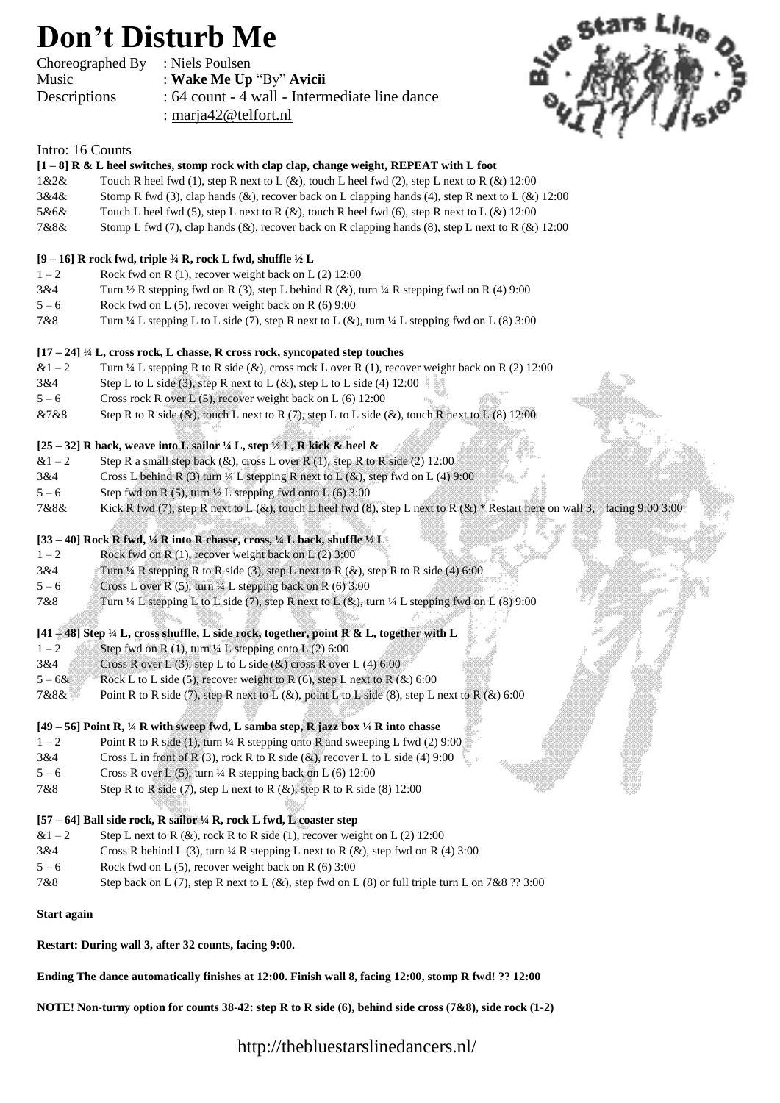## **Don't Disturb Me**

| Choreographed By | : Niels Poulsen                               |
|------------------|-----------------------------------------------|
| Music            | : Wake Me Up "By" Avicii                      |
| Descriptions     | : 64 count - 4 wall - Intermediate line dance |
|                  | : marja $42@$ telfort.nl                      |



## Intro: 16 Counts

| Intro: 16 Counts |                                                                                                                             |
|------------------|-----------------------------------------------------------------------------------------------------------------------------|
|                  | $[1-8]$ R & L heel switches, stomp rock with clap clap, change weight, REPEAT with L foot                                   |
| 1&2&2&           | Touch R heel fwd (1), step R next to L $(\&)$ , touch L heel fwd (2), step L next to R $(\&)$ 12:00                         |
| 3&4&             | Stomp R fwd (3), clap hands (&), recover back on L clapping hands (4), step R next to L (&) 12:00                           |
| 5&6&             | Touch L heel fwd (5), step L next to R (&), touch R heel fwd (6), step R next to L (&) 12:00                                |
| 7&8&             | Stomp L fwd (7), clap hands (&), recover back on R clapping hands (8), step L next to R (&) 12:00                           |
|                  | [9 – 16] R rock fwd, triple 34 R, rock L fwd, shuffle $1/2$ L                                                               |
| $1 - 2$          | Rock fwd on R $(1)$ , recover weight back on L $(2)$ 12:00                                                                  |
| 3&4              | Turn $\frac{1}{2}$ R stepping fwd on R (3), step L behind R (&), turn $\frac{1}{4}$ R stepping fwd on R (4) 9:00            |
| $5 - 6$          | Rock fwd on L $(5)$ , recover weight back on R $(6)$ 9:00                                                                   |
| 7&8              | Turn $\frac{1}{4}$ L stepping L to L side (7), step R next to L (&), turn $\frac{1}{4}$ L stepping fwd on L (8) 3:00        |
|                  | $[17 - 24]$ ¼ L, cross rock, L chasse, R cross rock, syncopated step touches                                                |
| $&1-2$           | Turn $\frac{1}{4}$ L stepping R to R side (&), cross rock L over R (1), recover weight back on R (2) 12:00                  |
| 3&4              | Step L to L side (3), step R next to L $(\&)$ , step L to L side (4) 12:00                                                  |
| $5 - 6$          | Cross rock R over L (5), recover weight back on L (6) 12:00                                                                 |
| &7&8             | Step R to R side (&), touch L next to R (7), step L to L side (&), touch R next to L (8) 12:00                              |
|                  |                                                                                                                             |
|                  | [25 – 32] R back, weave into L sailor $\frac{1}{4}$ L, step $\frac{1}{2}$ L, R kick & heel &                                |
| $&1-2$           | Step R a small step back $(x)$ , cross L over R $(1)$ , step R to R side $(2)$ 12:00                                        |
| 3&4              | Cross L behind R (3) turn $\frac{1}{4}$ L stepping R next to L (&), step fwd on L (4) 9:00                                  |
| $5 - 6$          | Step fwd on R $(5)$ , turn 1/2 L stepping fwd onto L $(6)$ 3:00                                                             |
| 7&8&             | Kick R fwd (7), step R next to L (&), touch L heel fwd (8), step L next to R (&) * Restart here on wall 3, facing 9:00 3:00 |
|                  | [33 - 40] Rock R fwd, 1/4 R into R chasse, cross, 1/4 L back, shuffle $1/2$ L                                               |
| $1 - 2$          | Rock fwd on R $(1)$ , recover weight back on L $(2)$ 3:00                                                                   |
| 3&4              | Turn $\frac{1}{4}$ R stepping R to R side (3), step L next to R (&), step R to R side (4) 6:00                              |
| $5 - 6$          | Cross L over R (5), turn 1/4 L stepping back on R (6) 3:00                                                                  |
| 7&8              | Turn $\frac{1}{4}$ L stepping L to L side (7), step R next to L (&), turn $\frac{1}{4}$ L stepping fwd on L (8) 9:00        |
|                  | [41 - 48] Step 1/4 L, cross shuffle, L side rock, together, point R & L, together with L                                    |
| $1 - 2$          | Step fwd on R $(1)$ , turn 1/4 L stepping onto L $(2)$ 6:00                                                                 |
| 3&4              | Cross R over L (3), step L to L side (&) cross R over L (4) 6:00                                                            |
| $5 - 68$         | Rock L to L side (5), recover weight to R (6), step L next to R $(\&)$ 6:00                                                 |
| 7&8&             | Point R to R side (7), step R next to L (&), point L to L side (8), step L next to R (&) 6:00                               |
|                  | [49 – 56] Point R, 1/4 R with sweep fwd, L samba step, R jazz box 1/4 R into chasse                                         |
| $1 - 2$          | Point R to R side (1), turn 1/4 R stepping onto R and sweeping L fwd (2) 9:00                                               |
| 3&4              | Cross L in front of R (3), rock R to R side $(\&)$ , recover L to L side (4) 9:00                                           |
| $5 - 6$          | Cross R over L $(5)$ , turn 1/4 R stepping back on L $(6)$ 12:00                                                            |
| 7&8              | Step R to R side $(7)$ , step L next to R $(\&)$ , step R to R side $(8)$ 12:00                                             |
|                  |                                                                                                                             |
|                  | [57 - 64] Ball side rock, R sailor 1/4 R, rock L fwd, L coaster step                                                        |
| $&1-2$           | Step L next to R $(\&)$ , rock R to R side (1), recover weight on L (2) 12:00                                               |
| 3&4              | Cross R behind L (3), turn $\frac{1}{4}$ R stepping L next to R (&), step fwd on R (4) 3:00                                 |
| $5 - 6$          | Rock fwd on L $(5)$ , recover weight back on R $(6)$ 3:00                                                                   |
| 7&8              | Step back on L (7), step R next to L (&), step fwd on L (8) or full triple turn L on 7&8 ?? 3:00                            |

**Start again** 

**Restart: During wall 3, after 32 counts, facing 9:00.** 

**Ending The dance automatically finishes at 12:00. Finish wall 8, facing 12:00, stomp R fwd! ?? 12:00** 

**NOTE! Non-turny option for counts 38-42: step R to R side (6), behind side cross (7&8), side rock (1-2)** 

http://thebluestarslinedancers.nl/